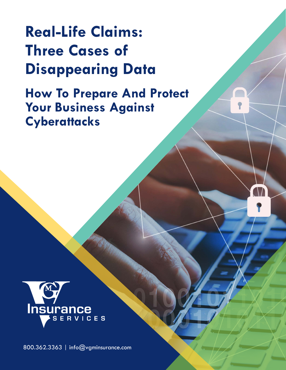# **Real-Life Claims: Three Cases of Disappearing Data**

**How To Prepare And Protect Your Business Against Cyberattacks**



800.362.3363 | [info@vgminsurance.com](mailto:info%40vgminsurance.com?subject=)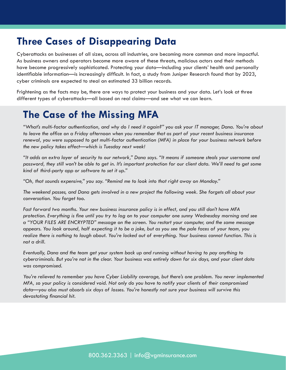## **Three Cases of Disappearing Data**

Cyberattacks on businesses of all sizes, across all industries, are becoming more common and more impactful. As business owners and operators become more aware of these threats, malicious actors and their methods have become progressively sophisticated. Protecting your data—including your clients' health and personally identifiable information—is increasingly difficult. In fact, a study from Juniper Research found that by 2023, cyber criminals are expected to steal an estimated 33 billion records.

Frightening as the facts may be, there are ways to protect your business and your data. Let's look at three different types of cyberattacks—all based on real claims—and see what we can learn.

# **The Case of the Missing MFA**

*"What's multi-factor authentication, and why do I need it again?" you ask your IT manager, Dana. You're about to leave the office on a Friday afternoon when you remember that as part of your recent business insurance renewal, you were supposed to get multi-factor authentication (MFA) in place for your business network before the new policy takes effect—which is Tuesday next week!*

*"It adds an extra layer of security to our network," Dana says. "It means if someone steals your username and*  password, they still won't be able to get in. It's important protection for our client data. We'll need to get some *kind of third-party app or software to set it up."* 

*"Oh, that sounds expensive," you say. "Remind me to look into that right away on Monday."* 

*The weekend passes, and Dana gets involved in a new project the following week. She forgets all about your conversation. You forget too.* 

*Fast forward two months. Your new business insurance policy is in effect, and you still don't have MFA protection. Everything is fine until you try to log on to your computer one sunny Wednesday morning and see a "YOUR FILES ARE ENCRYPTED" message on the screen. You restart your computer, and the same message appears. You look around, half expecting it to be a joke, but as you see the pale faces of your team, you realize there is nothing to laugh about. You're locked out of everything. Your business cannot function. This is not a drill.* 

*Eventually, Dana and the team get your system back up and running without having to pay anything to cybercriminals. But you're not in the clear. Your business was entirely down for six days, and your client data was compromised.* 

*You're relieved to remember you have Cyber Liability coverage, but there's one problem. You never implemented MFA, so your policy is considered void. Not only do you have to notify your clients of their compromised data—you also must absorb six days of losses. You're honestly not sure your business will survive this devastating financial hit.*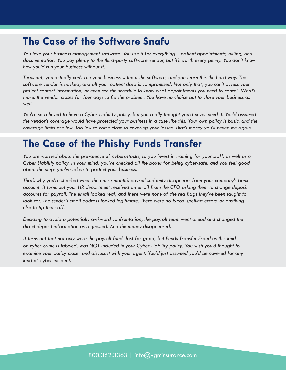## **The Case of the Software Snafu**

*You love your business management software. You use it for everything—patient appointments, billing, and documentation. You pay plenty to the third-party software vendor, but it's worth every penny. You don't know how you'd run your business without it.* 

*Turns out, you actually can't run your business without the software, and you learn this the hard way. The software vendor is hacked, and all your patient data is compromised. Not only that, you can't access your patient contact information, or even see the schedule to know what appointments you need to cancel. What's more, the vendor closes for four days to fix the problem. You have no choice but to close your business as well.* 

*You're so relieved to have a Cyber Liability policy, but you really thought you'd never need it. You'd assumed the vendor's coverage would have protected your business in a case like this. Your own policy is basic, and the coverage limits are low. Too low to come close to covering your losses. That's money you'll never see again.* 

# **The Case of the Phishy Funds Transfer**

*You are worried about the prevalence of cyberattacks, so you invest in training for your staff, as well as a Cyber Liability policy. In your mind, you've checked all the boxes for being cyber-safe, and you feel good about the steps you've taken to protect your business.* 

*That's why you're shocked when the entire month's payroll suddenly disappears from your company's bank account. It turns out your HR department received an email from the CFO asking them to change deposit accounts for payroll. The email looked real, and there were none of the red flags they've been taught to look for. The sender's email address looked legitimate. There were no typos, spelling errors, or anything else to tip them off.*

*Deciding to avoid a potentially awkward confrontation, the payroll team went ahead and changed the direct deposit information as requested. And the money disappeared.* 

*It turns out that not only were the payroll funds lost for good, but Funds Transfer Fraud as this kind of cyber crime is labeled, was NOT included in your Cyber Liability policy. You wish you'd thought to examine your policy closer and discuss it with your agent. You'd just assumed you'd be covered for any kind of cyber incident.*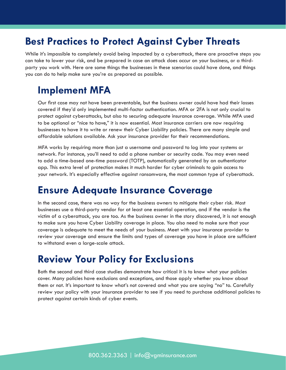## **Best Practices to Protect Against Cyber Threats**

While it's impossible to completely avoid being impacted by a cyberattack, there are proactive steps you can take to lower your risk, and be prepared in case an attack does occur on your business, or a thirdparty you work with. Here are some things the businesses in these scenarios could have done, and things you can do to help make sure you're as prepared as possible.

#### **Implement MFA**

Our first case may not have been preventable, but the business owner could have had their losses covered if they'd only implemented multi-factor authentication. MFA or 2FA is not only crucial to protect against cyberattacks, but also to securing adequate insurance coverage. While MFA used to be optional or "nice to have," it is now essential. Most insurance carriers are now requiring businesses to have it to write or renew their Cyber Liability policies. There are many simple and affordable solutions available. Ask your insurance provider for their recommendations.

MFA works by requiring more than just a username and password to log into your systems or network. For instance, you'll need to add a phone number or security code. You may even need to add a time-based one-time password (TOTP), automatically generated by an authenticator app. This extra level of protection makes it much harder for cyber criminals to gain access to your network. It's especially effective against ransomware, the most common type of cyberattack.

#### **Ensure Adequate Insurance Coverage**

In the second case, there was no way for the business owners to mitigate their cyber risk. Most businesses use a third-party vendor for at least one essential operation, and if the vendor is the victim of a cyberattack, you are too. As the business owner in the story discovered, it is not enough to make sure you have Cyber Liability coverage in place. You also need to make sure that your coverage is adequate to meet the needs of your business. Meet with your insurance provider to review your coverage and ensure the limits and types of coverage you have in place are sufficient to withstand even a large-scale attack.

#### **Review Your Policy for Exclusions**

Both the second and third case studies demonstrate how critical it is to know what your policies cover. Many policies have exclusions and exceptions, and those apply whether you know about them or not. It's important to know what's not covered and what you are saying "no" to. Carefully review your policy with your insurance provider to see if you need to purchase additional policies to protect against certain kinds of cyber events.